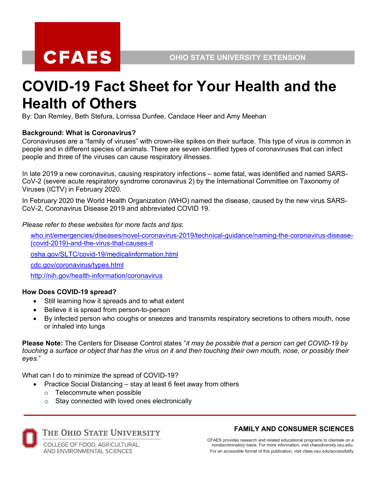# **CFAES**

# **COVID-19 Fact Sheet for Your Health and the Health of Others**

By: Dan Remley, Beth Stefura, Lorrissa Dunfee, Candace Heer and Amy Meehan

# **Background: What is Coronavirus?**

Coronaviruses are a "family of viruses" with crown-like spikes on their surface. This type of virus is common in people and in different species of animals. There are seven identified types of coronaviruses that can infect people and three of the viruses can cause respiratory illnesses.

In late 2019 a new coronavirus, causing respiratory infections – some fatal, was identified and named SARS-CoV-2 (severe acute respiratory syndrome coronavirus 2) by the International Committee on Taxonomy of Viruses (ICTV) in February 2020.

In February 2020 the World Health Organization (WHO) named the disease, caused by the new virus SARS-CoV-2, Coronavirus Disease 2019 and abbreviated COVID 19.

*Please refer to these websites for more facts and tips*:

who.int/emergencies/diseases/novel-coronavirus-2019/technical-guidance/naming-the-coronavirus-disease- (covid-2019)-and-the-virus-that-causes-it

osha.gov/SLTC/covid-19/medicalinformation.html

cdc.gov/coronavirus/types.html

http://nih.gov/health-information/coronavirus

# **How Does COVID-19 spread?**

- Still learning how it spreads and to what extent
- Believe it is spread from person-to-person
- By infected person who coughs or sneezes and transmits respiratory secretions to others mouth, nose or inhaled into lungs

**Please Note:** The Centers for Disease Control states "*it may be possible that a person can get COVID-19 by* touching a surface or object that has the virus on it and then touching their own mouth, nose, or possibly their *eyes.*"

What can I do to minimize the spread of COVID-19?

- Practice Social Distancing stay at least 6 feet away from others o Telecommute when possible
- o Stay connected with loved ones electronically



THE OHIO STATE UNIVERSITY

COLLEGE OF FOOD, AGRICULTURAL, **AND ENVIRONMENTAL SCIENCES** 

# **FAMILY AND CONSUMER SCIENCES**

CFAES provides research and related educational programs to clientele on a nondiscriminatory basis. For more information, visit cfaesdiversity.osu.edu. For an accessible format of this publication, visit cfaes.osu.edu/accessibility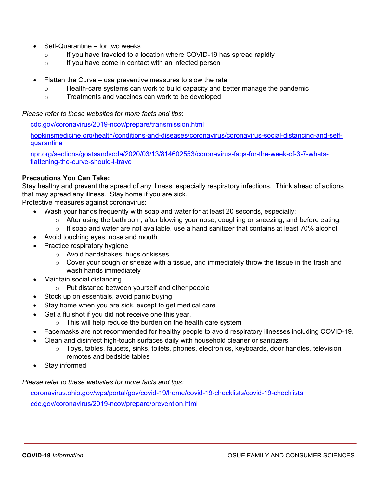- Self-Quarantine for two weeks
	- o If you have traveled to a location where COVID-19 has spread rapidly
	- o If you have come in contact with an infected person
- Flatten the Curve use preventive measures to slow the rate
	- o Health-care systems can work to build capacity and better manage the pandemic
	- o Treatments and vaccines can work to be developed

*Please refer to these websites for more facts and tips*:

cdc.gov/coronavirus/2019-ncov/prepare/transmission.html

hopkinsmedicine.org/health/conditions-and-diseases/coronavirus/coronavirus-social-distancing-and-selfquarantine

npr.org/sections/goatsandsoda/2020/03/13/814602553/coronavirus-faqs-for-the-week-of-3-7-whatsflattening-the-curve-should-i-trave

#### **Precautions You Can Take:**

Stay healthy and prevent the spread of any illness, especially respiratory infections. Think ahead of actions that may spread any illness. Stay home if you are sick.

Protective measures against coronavirus:

- Wash your hands frequently with soap and water for at least 20 seconds, especially:
	- o After using the bathroom, after blowing your nose, coughing or sneezing, and before eating.
	- $\circ$  If soap and water are not available, use a hand sanitizer that contains at least 70% alcohol
- Avoid touching eyes, nose and mouth
- Practice respiratory hygiene
	- o Avoid handshakes, hugs or kisses
	- $\circ$  Cover your cough or sneeze with a tissue, and immediately throw the tissue in the trash and wash hands immediately
- Maintain social distancing
	- o Put distance between yourself and other people
- Stock up on essentials, avoid panic buying
- Stay home when you are sick, except to get medical care
- Get a flu shot if you did not receive one this year.
	- $\circ$  This will help reduce the burden on the health care system
- Facemasks are not recommended for healthy people to avoid respiratory illnesses including COVID-19.
- Clean and disinfect high-touch surfaces daily with household cleaner or sanitizers
	- o Toys, tables, faucets, sinks, toilets, phones, electronics, keyboards, door handles, television remotes and bedside tables
- Stay informed

*Please refer to these websites for more facts and tips:*

coronavirus.ohio.gov/wps/portal/gov/covid-19/home/covid-19-checklists/covid-19-checklists cdc.gov/coronavirus/2019-ncov/prepare/prevention.html